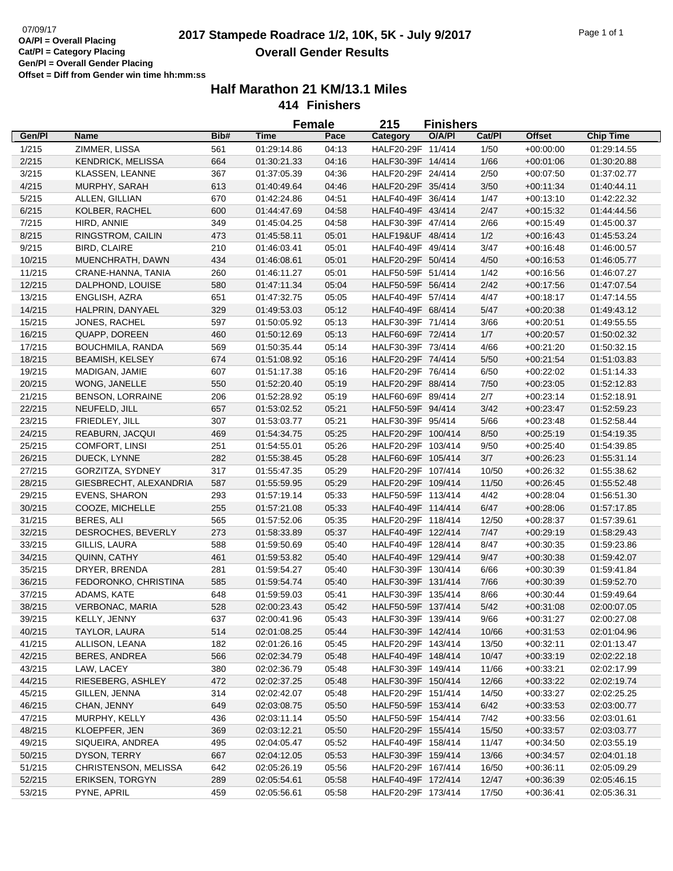# 07/09/17<br>**2017 Stampede Roadrace 1/2, 10K, 5K - July 9/2017** Page 1 of 1 **Overall Gender Results**

|        |                          |      |             | <b>Female</b> | 215                                     | <b>Finishers</b> |        |               |                  |
|--------|--------------------------|------|-------------|---------------|-----------------------------------------|------------------|--------|---------------|------------------|
| Gen/Pl | <b>Name</b>              | Bib# | <b>Time</b> | Pace          | Category                                | O/A/PI           | Cat/Pl | <b>Offset</b> | <b>Chip Time</b> |
| 1/215  | ZIMMER, LISSA            | 561  | 01:29:14.86 | 04:13         | HALF20-29F 11/414                       |                  | 1/50   | $+00:00:00$   | 01:29:14.55      |
| 2/215  | <b>KENDRICK, MELISSA</b> | 664  | 01:30:21.33 | 04:16         | HALF30-39F 14/414                       |                  | 1/66   | $+00:01:06$   | 01:30:20.88      |
| 3/215  | KLASSEN, LEANNE          | 367  | 01:37:05.39 | 04:36         | HALF20-29F 24/414                       |                  | 2/50   | $+00:07:50$   | 01:37:02.77      |
| 4/215  | MURPHY, SARAH            | 613  | 01:40:49.64 | 04:46         | HALF20-29F 35/414                       |                  | 3/50   | $+00:11:34$   | 01:40:44.11      |
| 5/215  | ALLEN, GILLIAN           | 670  | 01:42:24.86 | 04:51         | HALF40-49F 36/414                       |                  | 1/47   | $+00:13:10$   | 01:42:22.32      |
| 6/215  | KOLBER, RACHEL           | 600  | 01:44:47.69 | 04:58         | HALF40-49F 43/414                       |                  | 2/47   | $+00:15:32$   | 01:44:44.56      |
| 7/215  | HIRD, ANNIE              | 349  | 01:45:04.25 | 04:58         | HALF30-39F 47/414                       |                  | 2/66   | $+00:15:49$   | 01:45:00.37      |
| 8/215  | RINGSTROM, CAILIN        | 473  | 01:45:58.11 | 05:01         | HALF19&UF 48/414                        |                  | 1/2    | $+00:16:43$   | 01:45:53.24      |
| 9/215  | <b>BIRD, CLAIRE</b>      | 210  | 01:46:03.41 | 05:01         | HALF40-49F 49/414                       |                  | 3/47   | $+00:16:48$   | 01:46:00.57      |
| 10/215 | MUENCHRATH, DAWN         | 434  | 01:46:08.61 | 05:01         | HALF20-29F 50/414                       |                  | 4/50   | $+00:16:53$   | 01:46:05.77      |
| 11/215 | CRANE-HANNA, TANIA       | 260  | 01:46:11.27 | 05:01         | HALF50-59F 51/414                       |                  | 1/42   | $+00:16:56$   | 01:46:07.27      |
| 12/215 | DALPHOND, LOUISE         | 580  | 01:47:11.34 | 05:04         | HALF50-59F 56/414                       |                  | 2/42   | $+00:17:56$   | 01:47:07.54      |
| 13/215 | ENGLISH, AZRA            | 651  | 01:47:32.75 | 05:05         | HALF40-49F 57/414                       |                  | 4/47   | $+00:18:17$   | 01:47:14.55      |
| 14/215 | HALPRIN, DANYAEL         | 329  | 01:49:53.03 | 05:12         | HALF40-49F 68/414                       |                  | 5/47   | $+00:20:38$   | 01:49:43.12      |
| 15/215 | JONES, RACHEL            | 597  | 01:50:05.92 | 05:13         | HALF30-39F 71/414                       |                  | 3/66   | $+00:20:51$   | 01:49:55.55      |
| 16/215 | QUAPP, DOREEN            | 460  | 01:50:12.69 | 05:13         | HALF60-69F 72/414                       |                  | 1/7    | $+00:20:57$   | 01:50:02.32      |
| 17/215 | BOUCHMILA, RANDA         | 569  | 01:50:35.44 | 05:14         | HALF30-39F 73/414                       |                  | 4/66   | $+00:21:20$   | 01:50:32.15      |
| 18/215 | <b>BEAMISH, KELSEY</b>   | 674  | 01:51:08.92 | 05:16         | HALF20-29F 74/414                       |                  | $5/50$ | $+00:21:54$   | 01:51:03.83      |
| 19/215 | MADIGAN, JAMIE           | 607  | 01:51:17.38 | 05:16         | HALF20-29F 76/414                       |                  | 6/50   | $+00:22:02$   | 01:51:14.33      |
| 20/215 | WONG, JANELLE            | 550  | 01:52:20.40 | 05:19         | HALF20-29F 88/414                       |                  | 7/50   | $+00:23:05$   | 01:52:12.83      |
| 21/215 | <b>BENSON, LORRAINE</b>  | 206  | 01:52:28.92 | 05:19         | HALF60-69F 89/414                       |                  | 2/7    | $+00:23:14$   | 01:52:18.91      |
| 22/215 | NEUFELD, JILL            | 657  | 01:53:02.52 | 05:21         | HALF50-59F 94/414                       |                  | 3/42   | $+00:23:47$   | 01:52:59.23      |
|        |                          |      |             |               |                                         |                  |        |               | 01:52:58.44      |
| 23/215 | FRIEDLEY, JILL           | 307  | 01:53:03.77 | 05:21         | HALF30-39F 95/414<br>HALF20-29F 100/414 |                  | 5/66   | $+00:23:48$   |                  |
| 24/215 | REABURN, JACQUI          | 469  | 01:54:34.75 | 05:25         |                                         |                  | 8/50   | $+00:25:19$   | 01:54:19.35      |
| 25/215 | COMFORT, LINSI           | 251  | 01:54:55.01 | 05:26         | HALF20-29F 103/414                      |                  | 9/50   | $+00:25:40$   | 01:54:39.85      |
| 26/215 | DUECK, LYNNE             | 282  | 01:55:38.45 | 05:28         | HALF60-69F 105/414                      |                  | 3/7    | $+00:26:23$   | 01:55:31.14      |
| 27/215 | GORZITZA, SYDNEY         | 317  | 01:55:47.35 | 05:29         | HALF20-29F 107/414                      |                  | 10/50  | $+00:26:32$   | 01:55:38.62      |
| 28/215 | GIESBRECHT, ALEXANDRIA   | 587  | 01:55:59.95 | 05:29         | HALF20-29F 109/414                      |                  | 11/50  | $+00:26:45$   | 01:55:52.48      |
| 29/215 | <b>EVENS, SHARON</b>     | 293  | 01:57:19.14 | 05:33         | HALF50-59F 113/414                      |                  | 4/42   | $+00:28:04$   | 01:56:51.30      |
| 30/215 | COOZE, MICHELLE          | 255  | 01:57:21.08 | 05:33         | HALF40-49F 114/414                      |                  | 6/47   | $+00:28:06$   | 01:57:17.85      |
| 31/215 | BERES, ALI               | 565  | 01:57:52.06 | 05:35         | HALF20-29F 118/414                      |                  | 12/50  | $+00:28:37$   | 01:57:39.61      |
| 32/215 | DESROCHES, BEVERLY       | 273  | 01:58:33.89 | 05:37         | HALF40-49F 122/414                      |                  | 7/47   | $+00:29:19$   | 01:58:29.43      |
| 33/215 | GILLIS, LAURA            | 588  | 01:59:50.69 | 05:40         | HALF40-49F 128/414                      |                  | 8/47   | $+00:30:35$   | 01:59:23.86      |
| 34/215 | QUINN, CATHY             | 461  | 01:59:53.82 | 05:40         | HALF40-49F 129/414                      |                  | 9/47   | $+00:30:38$   | 01:59:42.07      |
| 35/215 | DRYER, BRENDA            | 281  | 01:59:54.27 | 05:40         | HALF30-39F 130/414                      |                  | 6/66   | $+00:30:39$   | 01:59:41.84      |
| 36/215 | FEDORONKO, CHRISTINA     | 585  | 01:59:54.74 | 05:40         | HALF30-39F 131/414                      |                  | 7/66   | $+00:30:39$   | 01:59:52.70      |
| 37/215 | ADAMS, KATE              | 648  | 01:59:59.03 | 05:41         | HALF30-39F 135/414                      |                  | 8/66   | $+00:30:44$   | 01:59:49.64      |
| 38/215 | <b>VERBONAC, MARIA</b>   | 528  | 02:00:23.43 | 05:42         | HALF50-59F 137/414                      |                  | 5/42   | $+00:31:08$   | 02:00:07.05      |
| 39/215 | KELLY, JENNY             | 637  | 02:00:41.96 | 05:43         | HALF30-39F 139/414                      |                  | 9/66   | $+00:31:27$   | 02:00:27.08      |
| 40/215 | TAYLOR, LAURA            | 514  | 02:01:08.25 | 05:44         | HALF30-39F 142/414                      |                  | 10/66  | $+00:31:53$   | 02:01:04.96      |
| 41/215 | ALLISON, LEANA           | 182  | 02:01:26.16 | 05:45         | HALF20-29F 143/414                      |                  | 13/50  | $+00:32:11$   | 02:01:13.47      |
| 42/215 | <b>BERES, ANDREA</b>     | 566  | 02:02:34.79 | 05:48         | HALF40-49F 148/414                      |                  | 10/47  | $+00:33:19$   | 02:02:22.18      |
| 43/215 | LAW, LACEY               | 380  | 02:02:36.79 | 05:48         | HALF30-39F 149/414                      |                  | 11/66  | $+00:33:21$   | 02:02:17.99      |
| 44/215 | RIESEBERG, ASHLEY        | 472  | 02:02:37.25 | 05:48         | HALF30-39F 150/414                      |                  | 12/66  | $+00:33:22$   | 02:02:19.74      |
| 45/215 | GILLEN, JENNA            | 314  | 02:02:42.07 | 05:48         | HALF20-29F 151/414                      |                  | 14/50  | $+00:33:27$   | 02:02:25.25      |
| 46/215 | CHAN, JENNY              | 649  | 02:03:08.75 | 05:50         | HALF50-59F 153/414                      |                  | 6/42   | $+00:33:53$   | 02:03:00.77      |
| 47/215 | MURPHY, KELLY            | 436  | 02:03:11.14 | 05:50         | HALF50-59F 154/414                      |                  | 7/42   | $+00.33.56$   | 02:03:01.61      |
| 48/215 | KLOEPFER, JEN            | 369  | 02:03:12.21 | 05:50         | HALF20-29F 155/414                      |                  | 15/50  | $+00.33.57$   | 02:03:03.77      |
| 49/215 | SIQUEIRA, ANDREA         | 495  | 02:04:05.47 | 05:52         | HALF40-49F 158/414                      |                  | 11/47  | $+00:34:50$   | 02:03:55.19      |
| 50/215 | DYSON, TERRY             | 667  | 02:04:12.05 | 05:53         | HALF30-39F 159/414                      |                  | 13/66  | $+00:34:57$   | 02:04:01.18      |
| 51/215 | CHRISTENSON, MELISSA     | 642  | 02:05:26.19 | 05:56         | HALF20-29F 167/414                      |                  | 16/50  | $+00:36:11$   | 02:05:09.29      |
| 52/215 | <b>ERIKSEN, TORGYN</b>   | 289  | 02:05:54.61 | 05:58         | HALF40-49F 172/414                      |                  | 12/47  | $+00:36:39$   | 02:05:46.15      |
| 53/215 | PYNE, APRIL              | 459  | 02:05:56.61 | 05:58         | HALF20-29F 173/414                      |                  | 17/50  | $+00:36:41$   | 02:05:36.31      |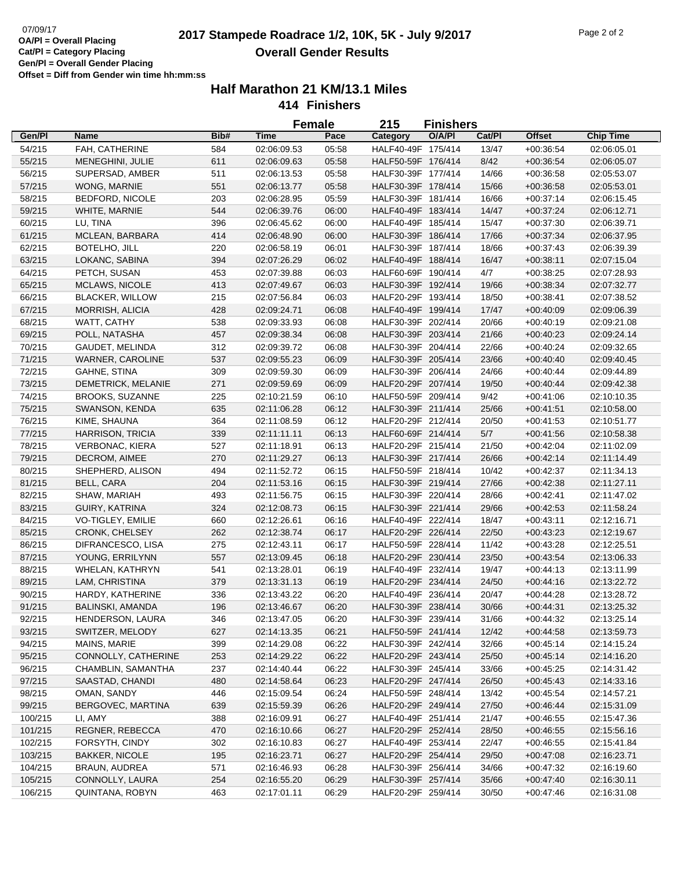# 07/09/17<br>**2017 Stampede Roadrace 1/2, 10K, 5K - July 9/2017** Page 2 of 2 **Overall Gender Results**

|         |                         |      |             | <b>Female</b> | 215                | <b>Finishers</b> |        |               |                  |
|---------|-------------------------|------|-------------|---------------|--------------------|------------------|--------|---------------|------------------|
| Gen/Pl  | Name                    | Bib# | <b>Time</b> | Pace          | Category           | O/A/PI           | Cat/Pl | <b>Offset</b> | <b>Chip Time</b> |
| 54/215  | FAH, CATHERINE          | 584  | 02:06:09.53 | 05:58         | HALF40-49F 175/414 |                  | 13/47  | $+00.36.54$   | 02:06:05.01      |
| 55/215  | MENEGHINI, JULIE        | 611  | 02:06:09.63 | 05:58         | HALF50-59F 176/414 |                  | 8/42   | $+00:36:54$   | 02:06:05.07      |
| 56/215  | SUPERSAD, AMBER         | 511  | 02:06:13.53 | 05:58         | HALF30-39F 177/414 |                  | 14/66  | $+00:36:58$   | 02:05:53.07      |
| 57/215  | WONG, MARNIE            | 551  | 02:06:13.77 | 05:58         | HALF30-39F 178/414 |                  | 15/66  | $+00:36:58$   | 02:05:53.01      |
| 58/215  | <b>BEDFORD, NICOLE</b>  | 203  | 02:06:28.95 | 05:59         | HALF30-39F 181/414 |                  | 16/66  | $+00:37:14$   | 02:06:15.45      |
| 59/215  | WHITE, MARNIE           | 544  | 02:06:39.76 | 06:00         | HALF40-49F 183/414 |                  | 14/47  | $+00:37:24$   | 02:06:12.71      |
| 60/215  | LU, TINA                | 396  | 02:06:45.62 | 06:00         | HALF40-49F 185/414 |                  | 15/47  | $+00:37:30$   | 02:06:39.71      |
| 61/215  | MCLEAN, BARBARA         | 414  | 02:06:48.90 | 06:00         | HALF30-39F 186/414 |                  | 17/66  | $+00:37:34$   | 02:06:37.95      |
| 62/215  | BOTELHO, JILL           | 220  | 02:06:58.19 | 06:01         | HALF30-39F 187/414 |                  | 18/66  | $+00:37:43$   | 02:06:39.39      |
| 63/215  | LOKANC, SABINA          | 394  | 02:07:26.29 | 06:02         | HALF40-49F 188/414 |                  | 16/47  | $+00:38:11$   | 02:07:15.04      |
| 64/215  | PETCH, SUSAN            | 453  | 02:07:39.88 | 06:03         | HALF60-69F 190/414 |                  | 4/7    | $+00:38:25$   | 02:07:28.93      |
| 65/215  | <b>MCLAWS, NICOLE</b>   | 413  | 02:07:49.67 | 06:03         | HALF30-39F 192/414 |                  | 19/66  | $+00:38:34$   | 02:07:32.77      |
| 66/215  | <b>BLACKER, WILLOW</b>  | 215  | 02:07:56.84 | 06:03         | HALF20-29F 193/414 |                  | 18/50  | $+00:38:41$   | 02:07:38.52      |
| 67/215  | MORRISH, ALICIA         | 428  | 02:09:24.71 | 06:08         | HALF40-49F 199/414 |                  | 17/47  | $+00:40:09$   | 02:09:06.39      |
| 68/215  | WATT, CATHY             | 538  | 02:09:33.93 | 06:08         | HALF30-39F 202/414 |                  | 20/66  | $+00:40:19$   | 02:09:21.08      |
| 69/215  | POLL, NATASHA           | 457  | 02:09:38.34 | 06:08         | HALF30-39F 203/414 |                  | 21/66  | $+00:40:23$   | 02:09:24.14      |
|         | GAUDET, MELINDA         |      |             |               |                    |                  |        |               |                  |
| 70/215  |                         | 312  | 02:09:39.72 | 06:08         | HALF30-39F 204/414 |                  | 22/66  | $+00:40:24$   | 02:09:32.65      |
| 71/215  | WARNER, CAROLINE        | 537  | 02:09:55.23 | 06:09         | HALF30-39F 205/414 |                  | 23/66  | $+00:40:40$   | 02:09:40.45      |
| 72/215  | <b>GAHNE, STINA</b>     | 309  | 02:09:59.30 | 06:09         | HALF30-39F 206/414 |                  | 24/66  | $+00:40:44$   | 02:09:44.89      |
| 73/215  | DEMETRICK, MELANIE      | 271  | 02:09:59.69 | 06:09         | HALF20-29F 207/414 |                  | 19/50  | $+00:40:44$   | 02:09:42.38      |
| 74/215  | <b>BROOKS, SUZANNE</b>  | 225  | 02:10:21.59 | 06:10         | HALF50-59F 209/414 |                  | 9/42   | $+00:41:06$   | 02:10:10.35      |
| 75/215  | SWANSON, KENDA          | 635  | 02:11:06.28 | 06:12         | HALF30-39F 211/414 |                  | 25/66  | $+00.41:51$   | 02:10:58.00      |
| 76/215  | KIME, SHAUNA            | 364  | 02:11:08.59 | 06:12         | HALF20-29F 212/414 |                  | 20/50  | $+00:41:53$   | 02:10:51.77      |
| 77/215  | <b>HARRISON, TRICIA</b> | 339  | 02:11:11.11 | 06:13         | HALF60-69F 214/414 |                  | $5/7$  | $+00:41:56$   | 02:10:58.38      |
| 78/215  | <b>VERBONAC, KIERA</b>  | 527  | 02:11:18.91 | 06:13         | HALF20-29F 215/414 |                  | 21/50  | $+00:42:04$   | 02:11:02.09      |
| 79/215  | DECROM, AIMEE           | 270  | 02:11:29.27 | 06:13         | HALF30-39F 217/414 |                  | 26/66  | $+00:42:14$   | 02:11:14.49      |
| 80/215  | SHEPHERD, ALISON        | 494  | 02:11:52.72 | 06:15         | HALF50-59F 218/414 |                  | 10/42  | $+00:42:37$   | 02:11:34.13      |
| 81/215  | <b>BELL, CARA</b>       | 204  | 02:11:53.16 | 06:15         | HALF30-39F 219/414 |                  | 27/66  | $+00:42:38$   | 02:11:27.11      |
| 82/215  | SHAW, MARIAH            | 493  | 02:11:56.75 | 06:15         | HALF30-39F 220/414 |                  | 28/66  | $+00:42:41$   | 02:11:47.02      |
| 83/215  | GUIRY, KATRINA          | 324  | 02:12:08.73 | 06:15         | HALF30-39F 221/414 |                  | 29/66  | $+00:42:53$   | 02:11:58.24      |
| 84/215  | VO-TIGLEY, EMILIE       | 660  | 02:12:26.61 | 06:16         | HALF40-49F 222/414 |                  | 18/47  | $+00:43:11$   | 02:12:16.71      |
| 85/215  | CRONK, CHELSEY          | 262  | 02:12:38.74 | 06:17         | HALF20-29F 226/414 |                  | 22/50  | $+00:43:23$   | 02:12:19.67      |
| 86/215  | DIFRANCESCO, LISA       | 275  | 02:12:43.11 | 06:17         | HALF50-59F 228/414 |                  | 11/42  | $+00:43:28$   | 02:12:25.51      |
| 87/215  | YOUNG, ERRILYNN         | 557  | 02:13:09.45 | 06:18         | HALF20-29F 230/414 |                  | 23/50  | $+00:43:54$   | 02:13:06.33      |
| 88/215  | WHELAN, KATHRYN         | 541  | 02:13:28.01 | 06:19         | HALF40-49F 232/414 |                  | 19/47  | $+00:44:13$   | 02:13:11.99      |
| 89/215  | LAM, CHRISTINA          | 379  | 02:13:31.13 | 06:19         | HALF20-29F 234/414 |                  | 24/50  | $+00.44:16$   | 02:13:22.72      |
| 90/215  | HARDY, KATHERINE        | 336  | 02:13:43.22 | 06:20         | HALF40-49F 236/414 |                  | 20/47  | $+00:44:28$   | 02:13:28.72      |
| 91/215  | <b>BALINSKI, AMANDA</b> | 196  | 02:13:46.67 | 06:20         | HALF30-39F 238/414 |                  | 30/66  | $+00.44.31$   | 02:13:25.32      |
| 92/215  | HENDERSON, LAURA        | 346  | 02:13:47.05 | 06:20         | HALF30-39F 239/414 |                  | 31/66  | $+00:44:32$   | 02:13:25.14      |
| 93/215  | SWITZER, MELODY         | 627  | 02:14:13.35 | 06:21         | HALF50-59F 241/414 |                  | 12/42  | $+00:44:58$   | 02:13:59.73      |
| 94/215  | MAINS, MARIE            | 399  | 02:14:29.08 | 06:22         | HALF30-39F 242/414 |                  | 32/66  | $+00:45:14$   | 02:14:15.24      |
| 95/215  | CONNOLLY, CATHERINE     | 253  | 02:14:29.22 | 06:22         | HALF20-29F 243/414 |                  | 25/50  | $+00:45:14$   | 02:14:16.20      |
| 96/215  | CHAMBLIN, SAMANTHA      | 237  | 02:14:40.44 | 06:22         | HALF30-39F 245/414 |                  | 33/66  | $+00:45:25$   | 02:14:31.42      |
| 97/215  | SAASTAD, CHANDI         | 480  | 02:14:58.64 | 06:23         | HALF20-29F 247/414 |                  | 26/50  | $+00.45.43$   | 02:14:33.16      |
| 98/215  | OMAN, SANDY             | 446  | 02:15:09.54 | 06:24         | HALF50-59F 248/414 |                  | 13/42  | $+00:45:54$   | 02:14:57.21      |
| 99/215  | BERGOVEC, MARTINA       | 639  | 02:15:59.39 | 06:26         | HALF20-29F 249/414 |                  | 27/50  | $+00.46.44$   | 02:15:31.09      |
| 100/215 | LI, AMY                 | 388  | 02:16:09.91 | 06:27         | HALF40-49F 251/414 |                  | 21/47  | $+00.46.55$   | 02:15:47.36      |
| 101/215 | REGNER, REBECCA         | 470  | 02:16:10.66 | 06:27         | HALF20-29F 252/414 |                  | 28/50  | $+00.46.55$   | 02:15:56.16      |
| 102/215 | FORSYTH, CINDY          | 302  | 02:16:10.83 | 06:27         | HALF40-49F 253/414 |                  | 22/47  | $+00:46:55$   | 02:15:41.84      |
| 103/215 | <b>BAKKER, NICOLE</b>   | 195  | 02:16:23.71 | 06:27         | HALF20-29F 254/414 |                  | 29/50  | $+00:47:08$   | 02:16:23.71      |
| 104/215 | BRAUN, AUDREA           | 571  | 02:16:46.93 | 06:28         | HALF30-39F 256/414 |                  | 34/66  | $+00.47:32$   | 02:16:19.60      |
| 105/215 | CONNOLLY, LAURA         | 254  | 02:16:55.20 | 06:29         | HALF30-39F 257/414 |                  | 35/66  | $+00.47:40$   | 02:16:30.11      |
| 106/215 | QUINTANA, ROBYN         | 463  | 02:17:01.11 | 06:29         | HALF20-29F 259/414 |                  | 30/50  | $+00:47:46$   | 02:16:31.08      |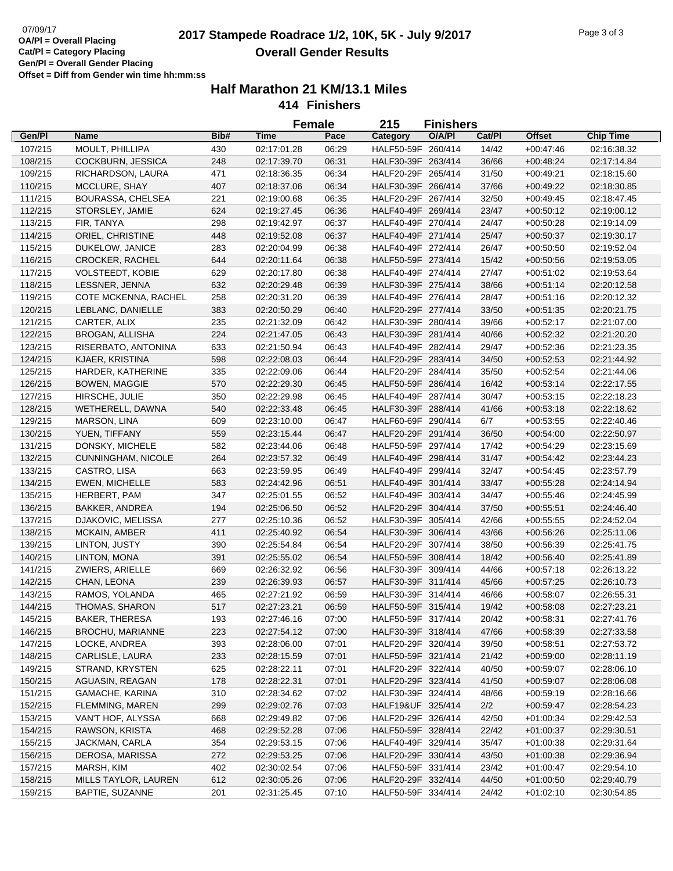# 07/09/17<br>**2017 Stampede Roadrace 1/2, 10K, 5K - July 9/2017** Page 3 of 3 **Overall Gender Results**

|         |                                  |      | <b>Female</b>              |       | 215                                      | <b>Finishers</b> |        |                            |                            |
|---------|----------------------------------|------|----------------------------|-------|------------------------------------------|------------------|--------|----------------------------|----------------------------|
| Gen/Pl  | <b>Name</b>                      | Bib# | <b>Time</b>                | Pace  | Category                                 | O/A/PI           | Cat/Pl | <b>Offset</b>              | <b>Chip Time</b>           |
| 107/215 | MOULT, PHILLIPA                  | 430  | 02:17:01.28                | 06:29 | HALF50-59F 260/414                       |                  | 14/42  | $+00.47.46$                | 02:16:38.32                |
| 108/215 | COCKBURN, JESSICA                | 248  | 02:17:39.70                | 06:31 | HALF30-39F 263/414                       |                  | 36/66  | $+00:48:24$                | 02:17:14.84                |
| 109/215 | RICHARDSON, LAURA                | 471  | 02:18:36.35                | 06:34 | HALF20-29F 265/414                       |                  | 31/50  | $+00:49:21$                | 02:18:15.60                |
| 110/215 | MCCLURE, SHAY                    | 407  | 02:18:37.06                | 06:34 | HALF30-39F 266/414                       |                  | 37/66  | $+00:49:22$                | 02:18:30.85                |
| 111/215 | <b>BOURASSA, CHELSEA</b>         | 221  | 02:19:00.68                | 06:35 | HALF20-29F 267/414                       |                  | 32/50  | $+00.49:45$                | 02:18:47.45                |
| 112/215 | STORSLEY, JAMIE                  | 624  | 02:19:27.45                | 06:36 | HALF40-49F 269/414                       |                  | 23/47  | $+00:50:12$                | 02:19:00.12                |
| 113/215 | FIR, TANYA                       | 298  | 02:19:42.97                | 06:37 | HALF40-49F 270/414                       |                  | 24/47  | $+00:50:28$                | 02:19:14.09                |
| 114/215 | ORIEL, CHRISTINE                 | 448  | 02:19:52.08                | 06:37 | HALF40-49F 271/414                       |                  | 25/47  | $+00:50:37$                | 02:19:30.17                |
| 115/215 | DUKELOW, JANICE                  | 283  | 02:20:04.99                | 06:38 | HALF40-49F 272/414                       |                  | 26/47  | $+00:50:50$                | 02:19:52.04                |
| 116/215 | <b>CROCKER, RACHEL</b>           | 644  | 02:20:11.64                | 06:38 | HALF50-59F 273/414                       |                  | 15/42  | $+00:50:56$                | 02:19:53.05                |
| 117/215 | <b>VOLSTEEDT, KOBIE</b>          | 629  | 02:20:17.80                | 06:38 | HALF40-49F 274/414                       |                  | 27/47  | $+00:51:02$                | 02:19:53.64                |
| 118/215 | LESSNER, JENNA                   | 632  | 02:20:29.48                | 06:39 | HALF30-39F 275/414                       |                  | 38/66  | $+00:51:14$                | 02:20:12.58                |
| 119/215 | COTE MCKENNA, RACHEL             | 258  | 02:20:31.20                | 06:39 | HALF40-49F 276/414                       |                  | 28/47  | $+00:51:16$                | 02:20:12.32                |
| 120/215 | LEBLANC, DANIELLE                | 383  | 02:20:50.29                | 06:40 | HALF20-29F 277/414                       |                  | 33/50  | $+00:51:35$                | 02:20:21.75                |
| 121/215 | CARTER, ALIX                     | 235  | 02:21:32.09                | 06:42 | HALF30-39F 280/414                       |                  | 39/66  | $+00:52:17$                | 02:21:07.00                |
| 122/215 | <b>BROGAN, ALLISHA</b>           | 224  | 02:21:47.05                | 06:43 | HALF30-39F 281/414                       |                  | 40/66  | $+00:52:32$                | 02:21:20.20                |
| 123/215 | RISERBATO, ANTONINA              | 633  | 02:21:50.94                | 06:43 | HALF40-49F 282/414                       |                  | 29/47  | $+00:52:36$                | 02:21:23.35                |
| 124/215 | KJAER, KRISTINA                  | 598  | 02:22:08.03                | 06:44 | HALF20-29F 283/414                       |                  | 34/50  | $+00:52:53$                | 02:21:44.92                |
| 125/215 | HARDER, KATHERINE                | 335  | 02:22:09.06                | 06:44 | HALF20-29F 284/414                       |                  | 35/50  | $+00.52:54$                | 02:21:44.06                |
| 126/215 | <b>BOWEN, MAGGIE</b>             | 570  | 02:22:29.30                | 06:45 | HALF50-59F 286/414                       |                  | 16/42  | $+00:53:14$                | 02:22:17.55                |
| 127/215 | HIRSCHE, JULIE                   | 350  | 02:22:29.98                | 06:45 | HALF40-49F 287/414                       |                  | 30/47  | $+00:53:15$                | 02:22:18.23                |
| 128/215 | WETHERELL, DAWNA                 | 540  | 02:22:33.48                | 06:45 | HALF30-39F 288/414                       |                  | 41/66  | $+00:53:18$                | 02:22:18.62                |
| 129/215 | MARSON, LINA                     | 609  | 02:23:10.00                | 06:47 | HALF60-69F 290/414                       |                  | 6/7    | $+00:53:55$                | 02:22:40.46                |
| 130/215 | YUEN, TIFFANY                    | 559  | 02:23:15.44                | 06:47 | HALF20-29F 291/414                       |                  | 36/50  | $+00.54:00$                | 02:22:50.97                |
| 131/215 | DONSKY, MICHELE                  | 582  | 02:23:44.06                | 06:48 | HALF50-59F 297/414                       |                  | 17/42  | $+00:54:29$                | 02:23:15.69                |
| 132/215 | <b>CUNNINGHAM, NICOLE</b>        | 264  | 02:23:57.32                | 06:49 | HALF40-49F 298/414                       |                  | 31/47  | $+00.54:42$                | 02:23:44.23                |
| 133/215 | CASTRO, LISA                     | 663  | 02:23:59.95                | 06:49 | HALF40-49F 299/414                       |                  | 32/47  | $+00.54:45$                | 02:23:57.79                |
| 134/215 | EWEN, MICHELLE                   | 583  |                            | 06:51 | HALF40-49F 301/414                       |                  | 33/47  | $+00.55:28$                |                            |
|         | HERBERT, PAM                     | 347  | 02:24:42.96<br>02:25:01.55 | 06:52 | HALF40-49F 303/414                       |                  | 34/47  |                            | 02:24:14.94<br>02:24:45.99 |
| 135/215 | BAKKER, ANDREA                   | 194  |                            | 06:52 | HALF20-29F 304/414                       |                  | 37/50  | $+00:55:46$                |                            |
| 136/215 | DJAKOVIC, MELISSA                | 277  | 02:25:06.50<br>02:25:10.36 | 06:52 | HALF30-39F 305/414                       |                  | 42/66  | $+00:55:51$<br>$+00.55:55$ | 02:24:46.40<br>02:24:52.04 |
| 137/215 |                                  |      |                            |       |                                          |                  |        |                            |                            |
| 138/215 | MCKAIN, AMBER                    | 411  | 02:25:40.92                | 06:54 | HALF30-39F 306/414<br>HALF20-29F 307/414 |                  | 43/66  | $+00.56:26$                | 02:25:11.06                |
| 139/215 | LINTON, JUSTY                    | 390  | 02:25:54.84                | 06:54 |                                          |                  | 38/50  | $+00:56:39$                | 02:25:41.75                |
| 140/215 | LINTON, MONA                     | 391  | 02:25:55.02                | 06:54 | HALF50-59F 308/414                       |                  | 18/42  | $+00:56:40$<br>$+00.57:18$ | 02:25:41.89                |
| 141/215 | ZWIERS, ARIELLE                  | 669  | 02:26:32.92                | 06:56 | HALF30-39F 309/414                       |                  | 44/66  |                            | 02:26:13.22                |
| 142/215 | CHAN, LEONA                      | 239  | 02:26:39.93                | 06:57 | HALF30-39F 311/414                       |                  | 45/66  | $+00:57:25$                | 02:26:10.73                |
| 143/215 | RAMOS, YOLANDA<br>THOMAS, SHARON | 465  | 02:27:21.92                | 06:59 | HALF30-39F 314/414<br>HALF50-59F 315/414 |                  | 46/66  | $+00.58:07$                | 02:26:55.31                |
| 144/215 |                                  | 517  | 02:27:23.21                | 06:59 |                                          |                  | 19/42  | $+00:58:08$                | 02:27:23.21                |
| 145/215 | <b>BAKER, THERESA</b>            | 193  | 02:27:46.16                | 07:00 | HALF50-59F 317/414                       |                  | 20/42  | $+00:58:31$                | 02:27:41.76                |
| 146/215 | <b>BROCHU, MARIANNE</b>          | 223  | 02:27:54.12                | 07:00 | HALF30-39F 318/414                       |                  | 47/66  | $+00.58.39$                | 02:27:33.58                |
| 147/215 | LOCKE, ANDREA                    | 393  | 02:28:06.00                | 07:01 | HALF20-29F 320/414                       |                  | 39/50  | $+00:58:51$                | 02:27:53.72                |
| 148/215 | CARLISLE, LAURA                  | 233  | 02:28:15.59                | 07:01 | HALF50-59F 321/414                       |                  | 21/42  | $+00.59:00$                | 02:28:11.19                |
| 149/215 | STRAND, KRYSTEN                  | 625  | 02:28:22.11                | 07:01 | HALF20-29F 322/414                       |                  | 40/50  | $+00:59:07$                | 02:28:06.10                |
| 150/215 | AGUASIN, REAGAN                  | 178  | 02:28:22.31                | 07:01 | HALF20-29F 323/414                       |                  | 41/50  | $+00.59:07$                | 02:28:06.08                |
| 151/215 | GAMACHE, KARINA                  | 310  | 02:28:34.62                | 07:02 | HALF30-39F 324/414                       |                  | 48/66  | $+00.59:19$                | 02:28:16.66                |
| 152/215 | FLEMMING, MAREN                  | 299  | 02:29:02.76                | 07:03 | HALF19&UF 325/414                        |                  | 2/2    | $+00.59:47$                | 02:28:54.23                |
| 153/215 | VAN'T HOF, ALYSSA                | 668  | 02:29:49.82                | 07:06 | HALF20-29F 326/414                       |                  | 42/50  | $+01:00:34$                | 02:29:42.53                |
| 154/215 | RAWSON, KRISTA                   | 468  | 02:29:52.28                | 07:06 | HALF50-59F 328/414                       |                  | 22/42  | $+01:00:37$                | 02:29:30.51                |
| 155/215 | JACKMAN, CARLA                   | 354  | 02:29:53.15                | 07:06 | HALF40-49F 329/414                       |                  | 35/47  | $+01:00:38$                | 02:29:31.64                |
| 156/215 | DEROSA, MARISSA                  | 272  | 02:29:53.25                | 07:06 | HALF20-29F 330/414                       |                  | 43/50  | $+01:00:38$                | 02:29:36.94                |
| 157/215 | MARSH, KIM                       | 402  | 02:30:02.54                | 07:06 | HALF50-59F 331/414                       |                  | 23/42  | $+01:00:47$                | 02:29:54.10                |
| 158/215 | MILLS TAYLOR, LAUREN             | 612  | 02:30:05.26                | 07:06 | HALF20-29F 332/414                       |                  | 44/50  | $+01:00:50$                | 02:29:40.79                |
| 159/215 | BAPTIE, SUZANNE                  | 201  | 02:31:25.45                | 07:10 | HALF50-59F 334/414                       |                  | 24/42  | $+01:02:10$                | 02:30:54.85                |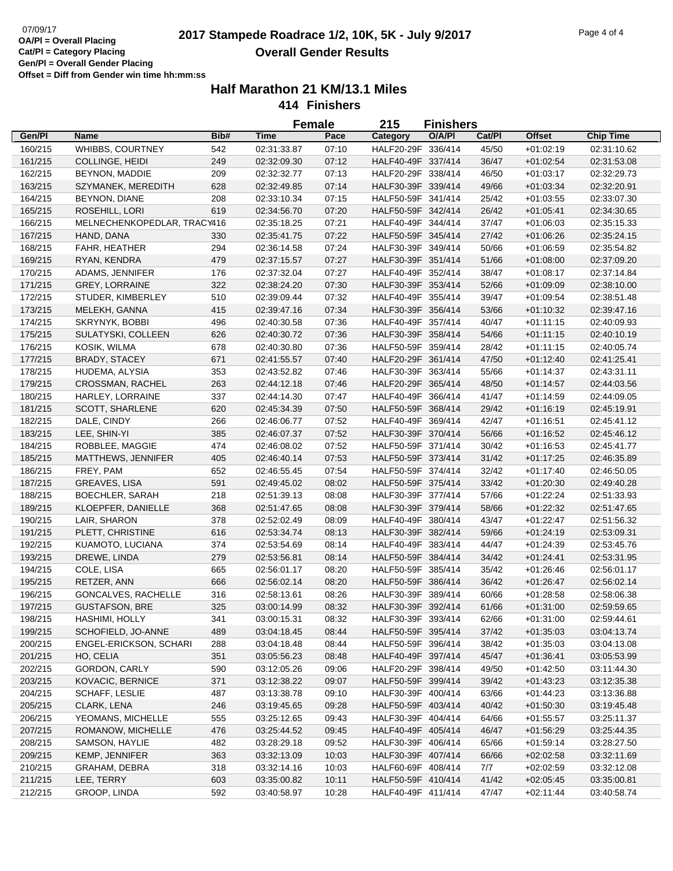# 07/09/17<br>**2017 Stampede Roadrace 1/2, 10K, 5K - July 9/2017** Page 4 of 4 **Overall Gender Results**

|         |                             |      | <b>Female</b> |       | 215                                      | <b>Finishers</b> |        |               |                            |
|---------|-----------------------------|------|---------------|-------|------------------------------------------|------------------|--------|---------------|----------------------------|
| Gen/Pl  | Name                        | Bib# | <b>Time</b>   | Pace  | Category                                 | O/A/PI           | Cat/PI | <b>Offset</b> | <b>Chip Time</b>           |
| 160/215 | WHIBBS, COURTNEY            | 542  | 02:31:33.87   | 07:10 | HALF20-29F 336/414                       |                  | 45/50  | $+01:02:19$   | 02:31:10.62                |
| 161/215 | COLLINGE, HEIDI             | 249  | 02:32:09.30   | 07:12 | HALF40-49F 337/414                       |                  | 36/47  | $+01:02:54$   | 02:31:53.08                |
| 162/215 | BEYNON, MADDIE              | 209  | 02:32:32.77   | 07:13 | HALF20-29F 338/414                       |                  | 46/50  | $+01:03:17$   | 02:32:29.73                |
| 163/215 | SZYMANEK, MEREDITH          | 628  | 02:32:49.85   | 07:14 | HALF30-39F 339/414                       |                  | 49/66  | $+01:03:34$   | 02:32:20.91                |
| 164/215 | BEYNON, DIANE               | 208  | 02:33:10.34   | 07:15 | HALF50-59F 341/414                       |                  | 25/42  | $+01:03:55$   | 02:33:07.30                |
| 165/215 | ROSEHILL, LORI              | 619  | 02:34:56.70   | 07:20 | HALF50-59F 342/414                       |                  | 26/42  | $+01:05:41$   | 02:34:30.65                |
| 166/215 | MELNECHENKOPEDLAR, TRACY416 |      | 02:35:18.25   | 07:21 | HALF40-49F 344/414                       |                  | 37/47  | $+01:06:03$   | 02:35:15.33                |
| 167/215 | HAND, DANA                  | 330  | 02:35:41.75   | 07:22 | HALF50-59F 345/414                       |                  | 27/42  | $+01:06:26$   | 02:35:24.15                |
| 168/215 | FAHR, HEATHER               | 294  | 02:36:14.58   | 07:24 | HALF30-39F 349/414                       |                  | 50/66  | $+01:06:59$   | 02:35:54.82                |
| 169/215 | RYAN, KENDRA                | 479  | 02:37:15.57   | 07:27 | HALF30-39F 351/414                       |                  | 51/66  | $+01:08:00$   | 02:37:09.20                |
| 170/215 | ADAMS, JENNIFER             | 176  | 02:37:32.04   | 07:27 | HALF40-49F 352/414                       |                  | 38/47  | $+01:08:17$   | 02:37:14.84                |
| 171/215 | <b>GREY, LORRAINE</b>       | 322  | 02:38:24.20   | 07:30 | HALF30-39F 353/414                       |                  | 52/66  | $+01:09:09$   | 02:38:10.00                |
| 172/215 | STUDER, KIMBERLEY           | 510  | 02:39:09.44   | 07:32 | HALF40-49F 355/414                       |                  | 39/47  | $+01:09:54$   | 02:38:51.48                |
| 173/215 | MELEKH, GANNA               | 415  | 02:39:47.16   | 07:34 | HALF30-39F 356/414                       |                  | 53/66  | $+01:10:32$   | 02:39:47.16                |
| 174/215 | SKRYNYK, BOBBI              | 496  | 02:40:30.58   | 07:36 | HALF40-49F 357/414                       |                  | 40/47  | $+01:11:15$   | 02:40:09.93                |
| 175/215 | SULATYSKI, COLLEEN          | 626  | 02:40:30.72   | 07:36 | HALF30-39F 358/414                       |                  | 54/66  | $+01:11:15$   | 02:40:10.19                |
| 176/215 | KOSIK, WILMA                | 678  | 02:40:30.80   | 07:36 | HALF50-59F 359/414                       |                  | 28/42  | $+01:11:15$   | 02:40:05.74                |
| 177/215 | <b>BRADY, STACEY</b>        | 671  | 02:41:55.57   | 07:40 | HALF20-29F 361/414                       |                  | 47/50  | $+01:12:40$   | 02:41:25.41                |
| 178/215 | HUDEMA, ALYSIA              | 353  | 02:43:52.82   | 07:46 | HALF30-39F 363/414                       |                  | 55/66  | $+01:14:37$   | 02:43:31.11                |
| 179/215 | CROSSMAN, RACHEL            | 263  | 02:44:12.18   | 07:46 | HALF20-29F 365/414                       |                  | 48/50  | $+01:14:57$   | 02:44:03.56                |
| 180/215 | HARLEY, LORRAINE            | 337  | 02:44:14.30   | 07:47 | HALF40-49F 366/414                       |                  | 41/47  | $+01:14:59$   | 02:44:09.05                |
| 181/215 | <b>SCOTT, SHARLENE</b>      | 620  | 02:45:34.39   | 07:50 | HALF50-59F 368/414                       |                  | 29/42  | $+01:16:19$   | 02:45:19.91                |
| 182/215 | DALE, CINDY                 | 266  | 02:46:06.77   | 07:52 | HALF40-49F 369/414                       |                  | 42/47  | $+01:16:51$   | 02:45:41.12                |
| 183/215 | LEE, SHIN-YI                | 385  | 02:46:07.37   | 07:52 | HALF30-39F 370/414                       |                  | 56/66  | $+01:16:52$   | 02:45:46.12                |
| 184/215 | ROBBLEE, MAGGIE             | 474  | 02:46:08.02   | 07:52 | HALF50-59F 371/414                       |                  | 30/42  | $+01:16:53$   | 02:45:41.77                |
| 185/215 | MATTHEWS, JENNIFER          | 405  | 02:46:40.14   | 07:53 | HALF50-59F 373/414                       |                  | 31/42  | $+01:17:25$   | 02:46:35.89                |
| 186/215 | FREY, PAM                   | 652  | 02:46:55.45   | 07:54 | HALF50-59F 374/414                       |                  | 32/42  | $+01:17:40$   | 02:46:50.05                |
| 187/215 | <b>GREAVES, LISA</b>        | 591  | 02:49:45.02   | 08:02 | HALF50-59F 375/414                       |                  | 33/42  | $+01:20:30$   | 02:49:40.28                |
| 188/215 | <b>BOECHLER, SARAH</b>      | 218  | 02:51:39.13   | 08:08 | HALF30-39F 377/414                       |                  | 57/66  | $+01:22:24$   | 02:51:33.93                |
| 189/215 | KLOEPFER, DANIELLE          | 368  | 02:51:47.65   | 08:08 | HALF30-39F 379/414                       |                  | 58/66  | $+01:22:32$   | 02:51:47.65                |
| 190/215 | LAIR, SHARON                | 378  | 02:52:02.49   | 08:09 | HALF40-49F 380/414                       |                  | 43/47  | $+01:22:47$   | 02:51:56.32                |
| 191/215 | PLETT, CHRISTINE            | 616  | 02:53:34.74   | 08:13 | HALF30-39F 382/414                       |                  | 59/66  | $+01:24:19$   | 02:53:09.31                |
| 192/215 | KUAMOTO, LUCIANA            | 374  | 02:53:54.69   | 08:14 | HALF40-49F 383/414                       |                  | 44/47  | $+01:24:39$   | 02:53:45.76                |
| 193/215 | DREWE, LINDA                | 279  | 02:53:56.81   | 08:14 | HALF50-59F 384/414                       |                  | 34/42  | $+01:24:41$   | 02:53:31.95                |
| 194/215 | COLE, LISA                  | 665  | 02:56:01.17   | 08:20 | HALF50-59F 385/414                       |                  | 35/42  | $+01:26:46$   | 02:56:01.17                |
| 195/215 | RETZER, ANN                 | 666  | 02:56:02.14   | 08:20 | HALF50-59F 386/414                       |                  | 36/42  | $+01:26:47$   | 02:56:02.14                |
| 196/215 | GONCALVES, RACHELLE         | 316  | 02:58:13.61   | 08:26 | HALF30-39F 389/414                       |                  | 60/66  | $+01:28:58$   | 02:58:06.38                |
| 197/215 | <b>GUSTAFSON, BRE</b>       | 325  | 03:00:14.99   | 08:32 | HALF30-39F 392/414                       |                  | 61/66  | $+01:31:00$   | 02:59:59.65                |
| 198/215 | HASHIMI, HOLLY              | 341  | 03:00:15.31   | 08:32 | HALF30-39F 393/414                       |                  | 62/66  | $+01:31:00$   | 02:59:44.61                |
| 199/215 | SCHOFIELD, JO-ANNE          | 489  | 03:04:18.45   | 08:44 | HALF50-59F 395/414                       |                  | 37/42  | $+01:35:03$   | 03:04:13.74                |
| 200/215 | ENGEL-ERICKSON, SCHARI      |      | 03:04:18.48   |       |                                          |                  | 38/42  |               |                            |
|         | HO, CELIA                   | 288  | 03:05:56.23   | 08:44 | HALF50-59F 396/414<br>HALF40-49F 397/414 |                  | 45/47  | $+01:35:03$   | 03:04:13.08<br>03:05:53.99 |
| 201/215 |                             | 351  |               | 08:48 |                                          |                  |        | $+01:36:41$   |                            |
| 202/215 | GORDON, CARLY               | 590  | 03:12:05.26   | 09:06 | HALF20-29F 398/414                       |                  | 49/50  | $+01:42:50$   | 03:11:44.30                |
| 203/215 | KOVACIC, BERNICE            | 371  | 03:12:38.22   | 09:07 | HALF50-59F 399/414<br>HALF30-39F 400/414 |                  | 39/42  | $+01:43:23$   | 03:12:35.38                |
| 204/215 | SCHAFF, LESLIE              | 487  | 03:13:38.78   | 09:10 | HALF50-59F 403/414                       |                  | 63/66  | $+01:44:23$   | 03:13:36.88                |
| 205/215 | CLARK, LENA                 | 246  | 03:19:45.65   | 09:28 |                                          |                  | 40/42  | $+01:50:30$   | 03:19:45.48                |
| 206/215 | YEOMANS, MICHELLE           | 555  | 03:25:12.65   | 09:43 | HALF30-39F 404/414                       |                  | 64/66  | $+01:55:57$   | 03:25:11.37                |
| 207/215 | ROMANOW, MICHELLE           | 476  | 03:25:44.52   | 09:45 | HALF40-49F 405/414                       |                  | 46/47  | $+01:56:29$   | 03:25:44.35                |
| 208/215 | SAMSON, HAYLIE              | 482  | 03:28:29.18   | 09:52 | HALF30-39F 406/414                       |                  | 65/66  | $+01:59:14$   | 03:28:27.50                |
| 209/215 | KEMP, JENNIFER              | 363  | 03:32:13.09   | 10:03 | HALF30-39F 407/414                       |                  | 66/66  | $+02:02:58$   | 03:32:11.69                |
| 210/215 | GRAHAM, DEBRA               | 318  | 03:32:14.16   | 10:03 | HALF60-69F 408/414                       |                  | 7/7    | $+02:02:59$   | 03:32:12.08                |
| 211/215 | LEE, TERRY                  | 603  | 03:35:00.82   | 10:11 | HALF50-59F 410/414                       |                  | 41/42  | $+02:05:45$   | 03:35:00.81                |
| 212/215 | GROOP, LINDA                | 592  | 03:40:58.97   | 10:28 | HALF40-49F 411/414                       |                  | 47/47  | $+02:11:44$   | 03:40:58.74                |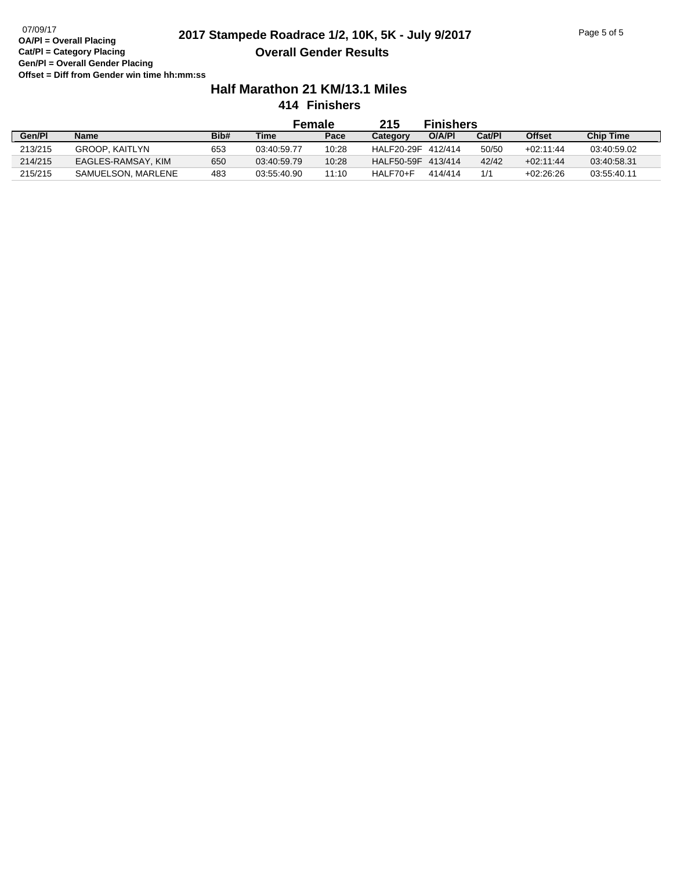# 07/09/17<br>**2017 Stampede Roadrace 1/2, 10K, 5K - July 9/2017** Page 5 of 5 **Overall Gender Results**

# **Half Marathon 21 KM/13.1 Miles**

**414 Finishers**

|         |                       |      | Female      |       | 215               | <b>Finishers</b> |        |               |                  |
|---------|-----------------------|------|-------------|-------|-------------------|------------------|--------|---------------|------------------|
| Gen/Pl  | <b>Name</b>           | Bib# | Time        | Pace  | Category          | O/A/PI           | Cat/Pl | <b>Offset</b> | <b>Chip Time</b> |
| 213/215 | <b>GROOP, KAITLYN</b> | 653  | 03:40:59.77 | 10:28 | HALF20-29F        | 412/414          | 50/50  | $+02.11.44$   | 03:40:59.02      |
| 214/215 | EAGLES-RAMSAY, KIM    | 650  | 03:40:59.79 | 10:28 | <b>HALF50-59F</b> | 413/414          | 42/42  | $+02.11.44$   | 03:40:58.31      |
| 215/215 | SAMUELSON, MARLENE    | 483  | 03:55:40.90 | 11:10 | HALF70+F          | 414/414          | 1/1    | $+02.26.26$   | 03:55:40.11      |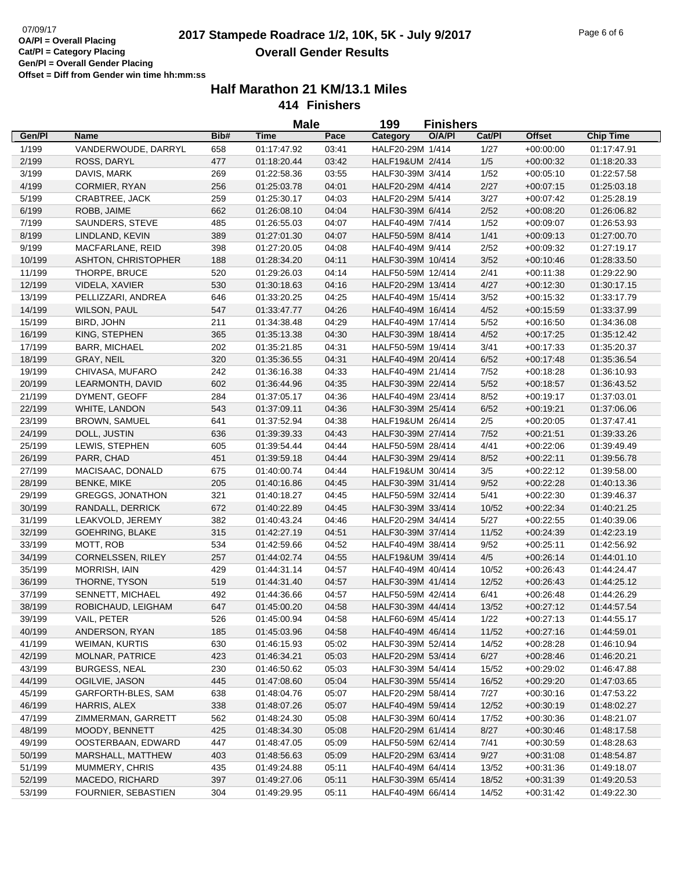## 07/09/17<br>**2017 Stampede Roadrace 1/2, 10K, 5K - July 9/2017** Page 6 of 6 Page 6 of 6 **Overall Gender Results**

|                  |                                         |      | <b>Male</b>                |                | 199                                    | <b>Finishers</b> |        |                            |                            |
|------------------|-----------------------------------------|------|----------------------------|----------------|----------------------------------------|------------------|--------|----------------------------|----------------------------|
| Gen/Pl           | Name                                    | Bib# | <b>Time</b>                | Pace           | Category                               | O/A/PI           | Cat/Pl | <b>Offset</b>              | <b>Chip Time</b>           |
| 1/199            | VANDERWOUDE, DARRYL                     | 658  | 01:17:47.92                | 03:41          | HALF20-29M 1/414                       |                  | 1/27   | $+00:00:00$                | 01:17:47.91                |
| 2/199            | ROSS, DARYL                             | 477  | 01:18:20.44                | 03:42          | HALF19&UM 2/414                        |                  | 1/5    | $+00:00:32$                | 01:18:20.33                |
| 3/199            | DAVIS, MARK                             | 269  | 01:22:58.36                | 03:55          | HALF30-39M 3/414                       |                  | 1/52   | $+00:05:10$                | 01:22:57.58                |
| 4/199            | CORMIER, RYAN                           | 256  | 01:25:03.78                | 04:01          | HALF20-29M 4/414                       |                  | 2/27   | $+00:07:15$                | 01:25:03.18                |
| 5/199            | CRABTREE, JACK                          | 259  | 01:25:30.17                | 04:03          | HALF20-29M 5/414                       |                  | 3/27   | $+00:07:42$                | 01:25:28.19                |
| 6/199            | ROBB, JAIME                             | 662  | 01:26:08.10                | 04:04          | HALF30-39M 6/414                       |                  | 2/52   | $+00:08:20$                | 01:26:06.82                |
| 7/199            | SAUNDERS, STEVE                         | 485  | 01:26:55.03                | 04:07          | HALF40-49M 7/414                       |                  | 1/52   | $+00:09:07$                | 01:26:53.93                |
| 8/199            | LINDLAND, KEVIN                         | 389  | 01:27:01.30                | 04:07          | HALF50-59M 8/414                       |                  | 1/41   | $+00:09:13$                | 01:27:00.70                |
| 9/199            | MACFARLANE, REID                        | 398  | 01:27:20.05                | 04:08          | HALF40-49M 9/414                       |                  | 2/52   | $+00:09:32$                | 01:27:19.17                |
| 10/199           | ASHTON, CHRISTOPHER                     | 188  | 01:28:34.20                | 04:11          | HALF30-39M 10/414                      |                  | 3/52   | $+00:10:46$                | 01:28:33.50                |
| 11/199           | THORPE, BRUCE                           | 520  | 01:29:26.03                | 04:14          | HALF50-59M 12/414                      |                  | 2/41   | $+00:11:38$                | 01:29:22.90                |
| 12/199           | VIDELA, XAVIER                          | 530  | 01:30:18.63                | 04:16          | HALF20-29M 13/414                      |                  | 4/27   | $+00:12:30$                | 01:30:17.15                |
| 13/199           | PELLIZZARI, ANDREA                      | 646  | 01:33:20.25                | 04:25          | HALF40-49M 15/414                      |                  | 3/52   | $+00:15:32$                | 01:33:17.79                |
| 14/199           | <b>WILSON, PAUL</b>                     | 547  | 01:33:47.77                | 04:26          | HALF40-49M 16/414                      |                  | 4/52   | $+00:15:59$                | 01:33:37.99                |
| 15/199           | BIRD, JOHN                              | 211  | 01:34:38.48                | 04:29          | HALF40-49M 17/414                      |                  | $5/52$ | $+00:16:50$                | 01:34:36.08                |
| 16/199           | KING, STEPHEN                           | 365  | 01:35:13.38                | 04:30          | HALF30-39M 18/414                      |                  | 4/52   | $+00:17:25$                | 01:35:12.42                |
| 17/199           | <b>BARR, MICHAEL</b>                    | 202  | 01:35:21.85                | 04:31          | HALF50-59M 19/414                      |                  | 3/41   | $+00:17:33$                | 01:35:20.37                |
| 18/199           | GRAY, NEIL                              | 320  | 01:35:36.55                | 04:31          | HALF40-49M 20/414                      |                  | 6/52   | $+00:17:48$                | 01:35:36.54                |
| 19/199           | CHIVASA, MUFARO                         | 242  | 01:36:16.38                | 04:33          | HALF40-49M 21/414                      |                  | 7/52   | $+00:18:28$                | 01:36:10.93                |
| 20/199           | LEARMONTH, DAVID                        | 602  | 01:36:44.96                | 04:35          | HALF30-39M 22/414                      |                  | $5/52$ | $+00:18:57$                | 01:36:43.52                |
| 21/199           | DYMENT, GEOFF                           | 284  | 01:37:05.17                | 04:36          | HALF40-49M 23/414                      |                  | 8/52   | $+00:19:17$                | 01:37:03.01                |
| 22/199           | WHITE, LANDON                           | 543  | 01:37:09.11                | 04:36          | HALF30-39M 25/414                      |                  | 6/52   | $+00.19.21$                | 01:37:06.06                |
| 23/199           | <b>BROWN, SAMUEL</b>                    | 641  | 01:37:52.94                | 04:38          | HALF19&UM 26/414                       |                  | 2/5    | $+00:20:05$                | 01:37:47.41                |
| 24/199           | DOLL, JUSTIN                            | 636  | 01:39:39.33                | 04:43          | HALF30-39M 27/414                      |                  | 7/52   | $+00:21:51$                | 01:39:33.26                |
| 25/199           | LEWIS, STEPHEN                          | 605  | 01:39:54.44                | 04:44          | HALF50-59M 28/414                      |                  | 4/41   | $+00:22:06$                | 01:39:49.49                |
| 26/199           | PARR, CHAD                              | 451  | 01:39:59.18                | 04:44          | HALF30-39M 29/414                      |                  | 8/52   | $+00:22:11$                | 01:39:56.78                |
| 27/199           | MACISAAC, DONALD                        | 675  | 01:40:00.74                | 04:44          | HALF19&UM 30/414                       |                  | $3/5$  | $+00:22:12$                | 01:39:58.00                |
| 28/199           | <b>BENKE, MIKE</b>                      | 205  | 01:40:16.86                | 04:45          | HALF30-39M 31/414                      |                  | 9/52   | $+00:22:28$                | 01:40:13.36                |
| 29/199           | <b>GREGGS, JONATHON</b>                 | 321  | 01:40:18.27                | 04:45          | HALF50-59M 32/414                      |                  | 5/41   | $+00:22:30$                | 01:39:46.37                |
| 30/199           | RANDALL, DERRICK                        | 672  | 01:40:22.89                | 04:45          | HALF30-39M 33/414                      |                  | 10/52  | $+00:22:34$                | 01:40:21.25                |
| 31/199           | LEAKVOLD, JEREMY                        | 382  | 01:40:43.24                | 04:46          | HALF20-29M 34/414                      |                  | 5/27   | $+00:22:55$                | 01:40:39.06                |
| 32/199           | GOEHRING, BLAKE                         | 315  | 01:42:27.19                | 04:51          | HALF30-39M 37/414                      |                  | 11/52  | $+00:24:39$                | 01:42:23.19                |
| 33/199           | MOTT, ROB                               | 534  | 01:42:59.66                | 04:52          | HALF40-49M 38/414                      |                  | 9/52   | $+00:25:11$                | 01:42:56.92                |
| 34/199           | CORNELSSEN, RILEY                       | 257  | 01:44:02.74                | 04:55          | HALF19&UM 39/414                       |                  | 4/5    | $+00:26:14$                | 01:44:01.10                |
|                  | MORRISH, IAIN                           | 429  | 01:44:31.14                |                | HALF40-49M 40/414                      |                  | 10/52  | $+00:26:43$                |                            |
| 35/199           | THORNE, TYSON                           | 519  |                            | 04:57<br>04:57 | HALF30-39M 41/414                      |                  | 12/52  |                            | 01:44:24.47<br>01:44:25.12 |
| 36/199<br>37/199 | SENNETT, MICHAEL                        | 492  | 01:44:31.40<br>01:44:36.66 | 04:57          | HALF50-59M 42/414                      |                  | 6/41   | $+00:26:43$<br>$+00:26:48$ | 01:44:26.29                |
| 38/199           |                                         | 647  | 01:45:00.20                | 04:58          | HALF30-39M 44/414                      |                  | 13/52  |                            |                            |
|                  | ROBICHAUD, LEIGHAM                      |      |                            |                | HALF60-69M 45/414                      |                  | 1/22   | $+00:27:12$                | 01:44:57.54                |
| 39/199<br>40/199 | VAIL, PETER                             | 526  | 01:45:00.94                | 04:58          |                                        |                  |        | $+00:27:13$                | 01:44:55.17<br>01:44:59.01 |
|                  | ANDERSON, RYAN<br><b>WEIMAN, KURTIS</b> | 185  | 01:45:03.96                | 04:58          | HALF40-49M 46/414<br>HALF30-39M 52/414 |                  | 11/52  | $+00:27:16$                |                            |
| 41/199           |                                         | 630  | 01:46:15.93                | 05:02          |                                        |                  | 14/52  | $+00:28:28$                | 01:46:10.94                |
| 42/199           | MOLNAR, PATRICE                         | 423  | 01:46:34.21                | 05:03          | HALF20-29M 53/414                      |                  | 6/27   | $+00:28:46$                | 01:46:20.21                |
| 43/199           | <b>BURGESS, NEAL</b>                    | 230  | 01:46:50.62                | 05:03          | HALF30-39M 54/414                      |                  | 15/52  | $+00:29:02$                | 01:46:47.88                |
| 44/199           | OGILVIE, JASON                          | 445  | 01:47:08.60                | 05:04          | HALF30-39M 55/414                      |                  | 16/52  | $+00:29:20$                | 01:47:03.65                |
| 45/199           | GARFORTH-BLES, SAM                      | 638  | 01:48:04.76                | 05:07          | HALF20-29M 58/414                      |                  | 7/27   | $+00:30:16$                | 01:47:53.22                |
| 46/199           | HARRIS, ALEX                            | 338  | 01:48:07.26                | 05:07          | HALF40-49M 59/414                      |                  | 12/52  | $+00:30:19$                | 01:48:02.27                |
| 47/199           | ZIMMERMAN, GARRETT                      | 562  | 01:48:24.30                | 05:08          | HALF30-39M 60/414                      |                  | 17/52  | $+00:30:36$                | 01:48:21.07                |
| 48/199           | MOODY, BENNETT                          | 425  | 01:48:34.30                | 05:08          | HALF20-29M 61/414                      |                  | 8/27   | $+00:30:46$                | 01:48:17.58                |
| 49/199           | OOSTERBAAN, EDWARD                      | 447  | 01:48:47.05                | 05:09          | HALF50-59M 62/414                      |                  | 7/41   | $+00:30:59$                | 01:48:28.63                |
| 50/199           | MARSHALL, MATTHEW                       | 403  | 01:48:56.63                | 05:09          | HALF20-29M 63/414                      |                  | 9/27   | $+00:31:08$                | 01:48:54.87                |
| 51/199           | MUMMERY, CHRIS                          | 435  | 01:49:24.88                | 05:11          | HALF40-49M 64/414                      |                  | 13/52  | $+00:31:36$                | 01:49:18.07                |
| 52/199           | MACEDO, RICHARD                         | 397  | 01:49:27.06                | 05:11          | HALF30-39M 65/414                      |                  | 18/52  | $+00:31:39$                | 01:49:20.53                |
| 53/199           | FOURNIER, SEBASTIEN                     | 304  | 01:49:29.95                | 05:11          | HALF40-49M 66/414                      |                  | 14/52  | $+00:31:42$                | 01:49:22.30                |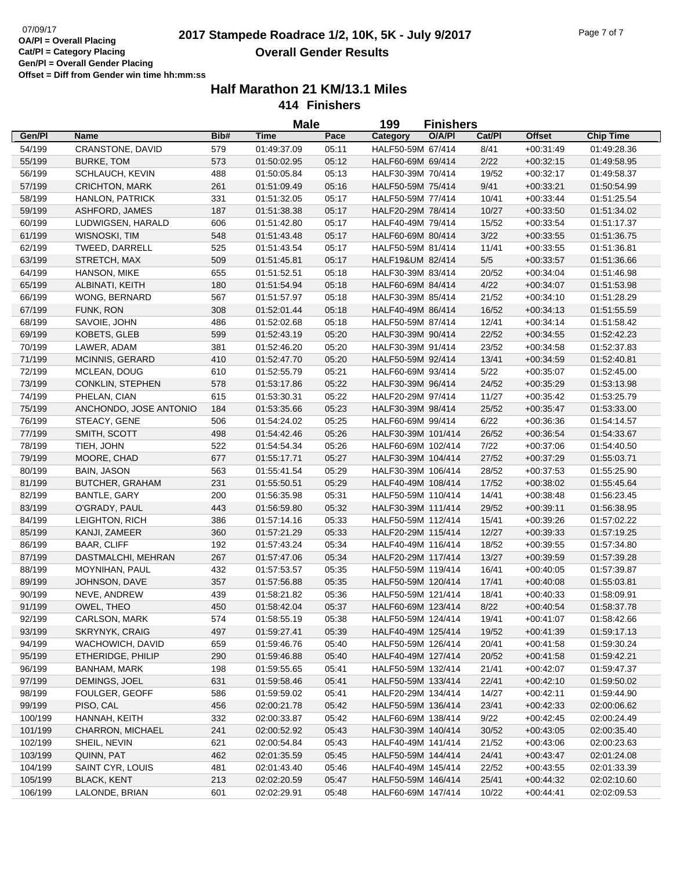# 07/09/17<br>**2017 Stampede Roadrace 1/2, 10K, 5K - July 9/2017** Page 7 of 7 **Overall Gender Results**

|         |                         |      | <b>Male</b> |       | 199                | <b>Finishers</b> |        |               |                  |
|---------|-------------------------|------|-------------|-------|--------------------|------------------|--------|---------------|------------------|
| Gen/Pl  | <b>Name</b>             | Bib# | <b>Time</b> | Pace  | Category           | O/A/PI           | Cat/PI | <b>Offset</b> | <b>Chip Time</b> |
| 54/199  | CRANSTONE, DAVID        | 579  | 01:49:37.09 | 05:11 | HALF50-59M 67/414  |                  | 8/41   | $+00:31:49$   | 01:49:28.36      |
| 55/199  | <b>BURKE, TOM</b>       | 573  | 01:50:02.95 | 05:12 | HALF60-69M 69/414  |                  | 2/22   | $+00:32:15$   | 01:49:58.95      |
| 56/199  | SCHLAUCH, KEVIN         | 488  | 01:50:05.84 | 05:13 | HALF30-39M 70/414  |                  | 19/52  | $+00:32:17$   | 01:49:58.37      |
| 57/199  | <b>CRICHTON, MARK</b>   | 261  | 01:51:09.49 | 05:16 | HALF50-59M 75/414  |                  | 9/41   | $+00:33:21$   | 01:50:54.99      |
| 58/199  | <b>HANLON, PATRICK</b>  | 331  | 01:51:32.05 | 05:17 | HALF50-59M 77/414  |                  | 10/41  | $+00:33:44$   | 01:51:25.54      |
| 59/199  | ASHFORD, JAMES          | 187  | 01:51:38.38 | 05:17 | HALF20-29M 78/414  |                  | 10/27  | $+00:33:50$   | 01:51:34.02      |
| 60/199  | LUDWIGSEN, HARALD       | 606  | 01:51:42.80 | 05:17 | HALF40-49M 79/414  |                  | 15/52  | $+00:33:54$   | 01:51:17.37      |
| 61/199  | WISNOSKI, TIM           | 548  | 01:51:43.48 | 05:17 | HALF60-69M 80/414  |                  | 3/22   | $+00:33:55$   | 01:51:36.75      |
| 62/199  | TWEED, DARRELL          | 525  | 01:51:43.54 | 05:17 | HALF50-59M 81/414  |                  | 11/41  | $+00:33:55$   | 01:51:36.81      |
| 63/199  | STRETCH, MAX            | 509  | 01:51:45.81 | 05:17 | HALF19&UM 82/414   |                  | 5/5    | $+00:33:57$   | 01:51:36.66      |
| 64/199  | HANSON, MIKE            | 655  | 01:51:52.51 | 05:18 | HALF30-39M 83/414  |                  | 20/52  | $+00:34:04$   | 01:51:46.98      |
| 65/199  | ALBINATI, KEITH         | 180  | 01:51:54.94 | 05:18 | HALF60-69M 84/414  |                  | 4/22   | $+00:34:07$   | 01:51:53.98      |
| 66/199  | WONG, BERNARD           | 567  | 01:51:57.97 | 05:18 | HALF30-39M 85/414  |                  | 21/52  | $+00:34:10$   | 01:51:28.29      |
| 67/199  | FUNK, RON               | 308  | 01:52:01.44 | 05:18 | HALF40-49M 86/414  |                  | 16/52  | $+00:34:13$   | 01:51:55.59      |
| 68/199  | SAVOIE, JOHN            | 486  | 01:52:02.68 | 05:18 | HALF50-59M 87/414  |                  | 12/41  | $+00:34:14$   | 01:51:58.42      |
| 69/199  | KOBETS, GLEB            | 599  | 01:52:43.19 | 05:20 | HALF30-39M 90/414  |                  | 22/52  | $+00:34:55$   | 01:52:42.23      |
| 70/199  | LAWER, ADAM             | 381  | 01:52:46.20 | 05:20 | HALF30-39M 91/414  |                  | 23/52  | $+00:34:58$   | 01:52:37.83      |
| 71/199  | MCINNIS, GERARD         | 410  | 01:52:47.70 | 05:20 | HALF50-59M 92/414  |                  | 13/41  | $+00:34:59$   | 01:52:40.81      |
| 72/199  | MCLEAN, DOUG            | 610  | 01:52:55.79 | 05:21 | HALF60-69M 93/414  |                  | 5/22   | $+00:35:07$   | 01:52:45.00      |
| 73/199  | <b>CONKLIN, STEPHEN</b> | 578  | 01:53:17.86 | 05:22 | HALF30-39M 96/414  |                  | 24/52  | $+00:35:29$   | 01:53:13.98      |
| 74/199  | PHELAN, CIAN            | 615  | 01:53:30.31 | 05:22 | HALF20-29M 97/414  |                  | 11/27  | $+00.35.42$   | 01:53:25.79      |
| 75/199  | ANCHONDO, JOSE ANTONIO  | 184  | 01:53:35.66 | 05:23 | HALF30-39M 98/414  |                  | 25/52  | $+00:35:47$   | 01:53:33.00      |
| 76/199  | STEACY, GENE            | 506  | 01:54:24.02 | 05:25 | HALF60-69M 99/414  |                  | 6/22   | $+00:36:36$   | 01:54:14.57      |
| 77/199  | SMITH, SCOTT            | 498  | 01:54:42.46 | 05:26 | HALF30-39M 101/414 |                  | 26/52  | $+00:36:54$   | 01:54:33.67      |
| 78/199  | TIEH, JOHN              | 522  | 01:54:54.34 | 05:26 | HALF60-69M 102/414 |                  | 7/22   | $+00:37:06$   | 01:54:40.50      |
| 79/199  | MOORE, CHAD             | 677  | 01:55:17.71 | 05:27 | HALF30-39M 104/414 |                  | 27/52  | $+00:37:29$   | 01:55:03.71      |
| 80/199  | <b>BAIN, JASON</b>      | 563  | 01:55:41.54 | 05:29 | HALF30-39M 106/414 |                  | 28/52  | $+00:37:53$   | 01:55:25.90      |
| 81/199  | <b>BUTCHER, GRAHAM</b>  | 231  | 01:55:50.51 | 05:29 | HALF40-49M 108/414 |                  | 17/52  | $+00:38:02$   | 01:55:45.64      |
| 82/199  | <b>BANTLE, GARY</b>     | 200  | 01:56:35.98 | 05:31 | HALF50-59M 110/414 |                  | 14/41  | $+00:38:48$   | 01:56:23.45      |
| 83/199  | O'GRADY, PAUL           | 443  | 01:56:59.80 | 05:32 | HALF30-39M 111/414 |                  | 29/52  | $+00:39:11$   | 01:56:38.95      |
| 84/199  | LEIGHTON, RICH          | 386  | 01:57:14.16 | 05:33 | HALF50-59M 112/414 |                  | 15/41  | $+00:39:26$   | 01:57:02.22      |
| 85/199  | KANJI, ZAMEER           | 360  | 01:57:21.29 | 05:33 | HALF20-29M 115/414 |                  | 12/27  | $+00:39:33$   | 01:57:19.25      |
| 86/199  | <b>BAAR, CLIFF</b>      | 192  | 01:57:43.24 | 05:34 | HALF40-49M 116/414 |                  | 18/52  | $+00:39:55$   | 01:57:34.80      |
| 87/199  | DASTMALCHI, MEHRAN      | 267  | 01:57:47.06 | 05:34 | HALF20-29M 117/414 |                  | 13/27  | $+00:39:59$   | 01:57:39.28      |
| 88/199  | MOYNIHAN, PAUL          | 432  | 01:57:53.57 | 05:35 | HALF50-59M 119/414 |                  | 16/41  | $+00:40:05$   | 01:57:39.87      |
| 89/199  | JOHNSON, DAVE           | 357  | 01:57:56.88 | 05:35 | HALF50-59M 120/414 |                  | 17/41  | $+00:40:08$   | 01:55:03.81      |
| 90/199  | NEVE, ANDREW            | 439  | 01:58:21.82 | 05:36 | HALF50-59M 121/414 |                  | 18/41  | $+00.40.33$   | 01:58:09.91      |
| 91/199  | OWEL, THEO              | 450  | 01:58:42.04 | 05:37 | HALF60-69M 123/414 |                  | 8/22   | $+00:40:54$   | 01:58:37.78      |
| 92/199  | CARLSON, MARK           | 574  | 01:58:55.19 | 05:38 | HALF50-59M 124/414 |                  | 19/41  | $+00:41:07$   | 01:58:42.66      |
| 93/199  | <b>SKRYNYK, CRAIG</b>   | 497  | 01:59:27.41 | 05:39 | HALF40-49M 125/414 |                  | 19/52  | $+00.41.39$   | 01:59:17.13      |
| 94/199  | WACHOWICH, DAVID        | 659  | 01:59:46.76 | 05:40 | HALF50-59M 126/414 |                  | 20/41  | $+00:41:58$   | 01:59:30.24      |
| 95/199  | ETHERIDGE, PHILIP       | 290  | 01:59:46.88 | 05:40 | HALF40-49M 127/414 |                  | 20/52  | $+00:41:58$   | 01:59:42.21      |
| 96/199  | BANHAM, MARK            | 198  | 01:59:55.65 | 05:41 | HALF50-59M 132/414 |                  | 21/41  | $+00:42:07$   | 01:59:47.37      |
| 97/199  | DEMINGS, JOEL           | 631  | 01:59:58.46 | 05:41 | HALF50-59M 133/414 |                  | 22/41  | $+00:42:10$   | 01:59:50.02      |
| 98/199  | FOULGER, GEOFF          | 586  | 01:59:59.02 | 05:41 | HALF20-29M 134/414 |                  | 14/27  | $+00:42:11$   | 01:59:44.90      |
| 99/199  | PISO, CAL               | 456  | 02:00:21.78 | 05:42 | HALF50-59M 136/414 |                  | 23/41  | $+00:42:33$   | 02:00:06.62      |
| 100/199 | HANNAH, KEITH           | 332  | 02:00:33.87 | 05:42 | HALF60-69M 138/414 |                  | 9/22   | $+00.42:45$   | 02:00:24.49      |
| 101/199 | CHARRON, MICHAEL        | 241  | 02:00:52.92 | 05:43 | HALF30-39M 140/414 |                  | 30/52  | $+00:43:05$   | 02:00:35.40      |
| 102/199 | SHEIL, NEVIN            | 621  | 02:00:54.84 | 05:43 | HALF40-49M 141/414 |                  | 21/52  | $+00:43:06$   | 02:00:23.63      |
| 103/199 | QUINN, PAT              | 462  | 02:01:35.59 | 05:45 | HALF50-59M 144/414 |                  | 24/41  | $+00:43:47$   | 02:01:24.08      |
| 104/199 | SAINT CYR, LOUIS        | 481  | 02:01:43.40 | 05:46 | HALF40-49M 145/414 |                  | 22/52  | $+00:43:55$   | 02:01:33.39      |
| 105/199 | <b>BLACK, KENT</b>      | 213  | 02:02:20.59 | 05:47 | HALF50-59M 146/414 |                  | 25/41  | $+00:44:32$   | 02:02:10.60      |
| 106/199 | LALONDE, BRIAN          | 601  | 02:02:29.91 | 05:48 | HALF60-69M 147/414 |                  | 10/22  | $+00:44:41$   | 02:02:09.53      |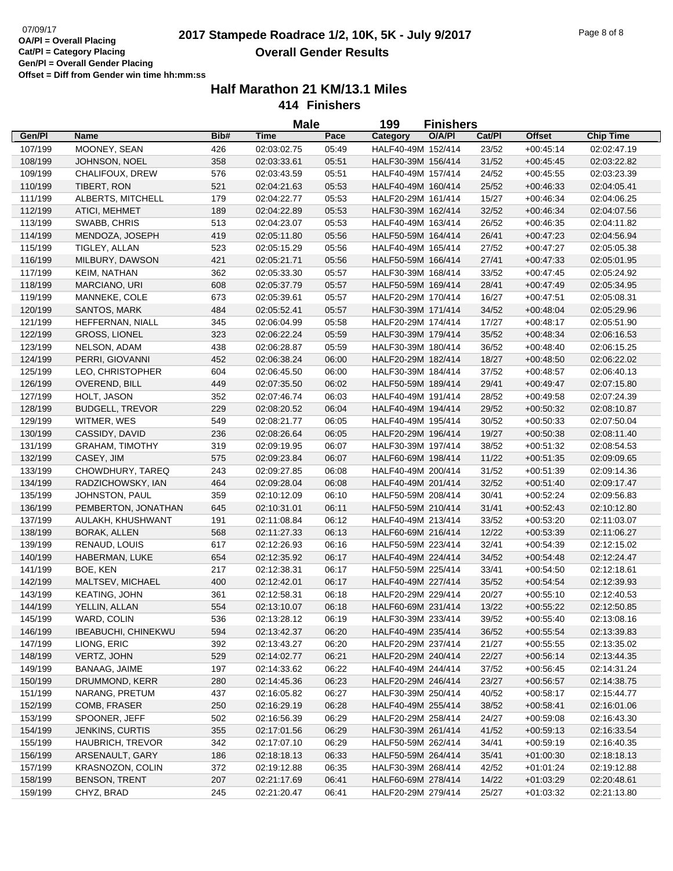# 07/09/17<br>**QA/PI - Overall Placing 2017 Stampede Roadrace 1/2, 10K, 5K - July 9/2017** Page 8 of 8 **Overall Gender Results**

|         |                            |      | <b>Male</b> |       | 199<br><b>Finishers</b> |        |        |               |                  |
|---------|----------------------------|------|-------------|-------|-------------------------|--------|--------|---------------|------------------|
| Gen/Pl  | Name                       | Bib# | <b>Time</b> | Pace  | Category                | O/A/PI | Cat/Pl | <b>Offset</b> | <b>Chip Time</b> |
| 107/199 | MOONEY, SEAN               | 426  | 02:03:02.75 | 05:49 | HALF40-49M 152/414      |        | 23/52  | $+00:45:14$   | 02:02:47.19      |
| 108/199 | JOHNSON, NOEL              | 358  | 02:03:33.61 | 05:51 | HALF30-39M 156/414      |        | 31/52  | $+00:45:45$   | 02:03:22.82      |
| 109/199 | CHALIFOUX, DREW            | 576  | 02:03:43.59 | 05:51 | HALF40-49M 157/414      |        | 24/52  | $+00:45:55$   | 02:03:23.39      |
| 110/199 | TIBERT, RON                | 521  | 02:04:21.63 | 05:53 | HALF40-49M 160/414      |        | 25/52  | $+00:46:33$   | 02:04:05.41      |
| 111/199 | ALBERTS, MITCHELL          | 179  | 02:04:22.77 | 05:53 | HALF20-29M 161/414      |        | 15/27  | $+00:46:34$   | 02:04:06.25      |
| 112/199 | ATICI, MEHMET              | 189  | 02:04:22.89 | 05:53 | HALF30-39M 162/414      |        | 32/52  | $+00:46:34$   | 02:04:07.56      |
| 113/199 | SWABB, CHRIS               | 513  | 02:04:23.07 | 05:53 | HALF40-49M 163/414      |        | 26/52  | $+00:46:35$   | 02:04:11.82      |
| 114/199 | MENDOZA, JOSEPH            | 419  | 02:05:11.80 | 05:56 | HALF50-59M 164/414      |        | 26/41  | $+00:47:23$   | 02:04:56.94      |
| 115/199 | TIGLEY, ALLAN              | 523  | 02:05:15.29 | 05:56 | HALF40-49M 165/414      |        | 27/52  | $+00:47:27$   | 02:05:05.38      |
| 116/199 | MILBURY, DAWSON            | 421  | 02:05:21.71 | 05:56 | HALF50-59M 166/414      |        | 27/41  | $+00:47:33$   | 02:05:01.95      |
| 117/199 | KEIM, NATHAN               | 362  | 02:05:33.30 | 05:57 | HALF30-39M 168/414      |        | 33/52  | $+00:47:45$   | 02:05:24.92      |
| 118/199 | MARCIANO, URI              | 608  | 02:05:37.79 | 05:57 | HALF50-59M 169/414      |        | 28/41  | $+00:47:49$   | 02:05:34.95      |
| 119/199 | MANNEKE, COLE              | 673  | 02:05:39.61 | 05:57 | HALF20-29M 170/414      |        | 16/27  | $+00:47:51$   | 02:05:08.31      |
| 120/199 | SANTOS, MARK               | 484  | 02:05:52.41 | 05:57 | HALF30-39M 171/414      |        | 34/52  | $+00:48:04$   | 02:05:29.96      |
| 121/199 | HEFFERNAN, NIALL           | 345  | 02:06:04.99 | 05:58 | HALF20-29M 174/414      |        | 17/27  | $+00:48:17$   | 02:05:51.90      |
| 122/199 | <b>GROSS, LIONEL</b>       | 323  | 02:06:22.24 | 05:59 | HALF30-39M 179/414      |        | 35/52  | $+00:48:34$   | 02:06:16.53      |
| 123/199 | NELSON, ADAM               | 438  | 02:06:28.87 | 05:59 | HALF30-39M 180/414      |        | 36/52  | $+00:48:40$   | 02:06:15.25      |
| 124/199 | PERRI, GIOVANNI            | 452  | 02:06:38.24 | 06:00 | HALF20-29M 182/414      |        | 18/27  | $+00.48.50$   | 02:06:22.02      |
| 125/199 | LEO, CHRISTOPHER           | 604  | 02:06:45.50 | 06:00 | HALF30-39M 184/414      |        | 37/52  | $+00:48:57$   | 02:06:40.13      |
| 126/199 | OVEREND, BILL              | 449  | 02:07:35.50 | 06:02 | HALF50-59M 189/414      |        | 29/41  | $+00.49:47$   | 02:07:15.80      |
| 127/199 | HOLT, JASON                | 352  | 02:07:46.74 | 06:03 | HALF40-49M 191/414      |        | 28/52  | $+00:49:58$   | 02:07:24.39      |
| 128/199 | <b>BUDGELL, TREVOR</b>     | 229  | 02:08:20.52 | 06:04 | HALF40-49M 194/414      |        | 29/52  | $+00:50:32$   | 02:08:10.87      |
| 129/199 | WITMER, WES                | 549  | 02:08:21.77 | 06:05 | HALF40-49M 195/414      |        | 30/52  | $+00:50:33$   | 02:07:50.04      |
| 130/199 | CASSIDY, DAVID             | 236  | 02:08:26.64 | 06:05 | HALF20-29M 196/414      |        | 19/27  | $+00:50:38$   | 02:08:11.40      |
| 131/199 | <b>GRAHAM, TIMOTHY</b>     | 319  | 02:09:19.95 | 06:07 | HALF30-39M 197/414      |        | 38/52  | $+00:51:32$   | 02:08:54.53      |
| 132/199 | CASEY, JIM                 | 575  | 02:09:23.84 | 06:07 | HALF60-69M 198/414      |        | 11/22  | $+00:51:35$   | 02:09:09.65      |
| 133/199 | CHOWDHURY, TAREQ           | 243  | 02:09:27.85 | 06:08 | HALF40-49M 200/414      |        | 31/52  | $+00:51:39$   | 02:09:14.36      |
| 134/199 | RADZICHOWSKY, IAN          | 464  | 02:09:28.04 | 06:08 | HALF40-49M 201/414      |        | 32/52  | $+00:51:40$   | 02:09:17.47      |
| 135/199 | JOHNSTON, PAUL             | 359  | 02:10:12.09 | 06:10 | HALF50-59M 208/414      |        | 30/41  | $+00:52:24$   | 02:09:56.83      |
| 136/199 | PEMBERTON, JONATHAN        | 645  | 02:10:31.01 | 06:11 | HALF50-59M 210/414      |        | 31/41  | $+00:52:43$   | 02:10:12.80      |
| 137/199 | AULAKH, KHUSHWANT          | 191  | 02:11:08.84 | 06:12 | HALF40-49M 213/414      |        | 33/52  | $+00:53:20$   | 02:11:03.07      |
| 138/199 | BORAK, ALLEN               | 568  | 02:11:27.33 | 06:13 | HALF60-69M 216/414      |        | 12/22  | $+00:53:39$   | 02:11:06.27      |
| 139/199 | RENAUD, LOUIS              | 617  | 02:12:26.93 | 06:16 | HALF50-59M 223/414      |        | 32/41  | $+00:54:39$   | 02:12:15.02      |
| 140/199 | <b>HABERMAN, LUKE</b>      | 654  | 02:12:35.92 | 06:17 | HALF40-49M 224/414      |        | 34/52  | $+00.54.48$   | 02:12:24.47      |
| 141/199 | BOE, KEN                   | 217  | 02:12:38.31 | 06:17 | HALF50-59M 225/414      |        | 33/41  | $+00:54:50$   | 02:12:18.61      |
| 142/199 | MALTSEV, MICHAEL           | 400  | 02:12:42.01 | 06:17 | HALF40-49M 227/414      |        | 35/52  | $+00:54:54$   | 02:12:39.93      |
| 143/199 | <b>KEATING, JOHN</b>       | 361  | 02:12:58.31 | 06:18 | HALF20-29M 229/414      |        | 20/27  | $+00.55:10$   | 02:12:40.53      |
| 144/199 | YELLIN, ALLAN              | 554  | 02:13:10.07 | 06:18 | HALF60-69M 231/414      |        | 13/22  | $+00:55:22$   | 02:12:50.85      |
| 145/199 | WARD, COLIN                | 536  | 02:13:28.12 | 06:19 | HALF30-39M 233/414      |        | 39/52  | $+00.55:40$   | 02:13:08.16      |
| 146/199 | <b>IBEABUCHI, CHINEKWU</b> | 594  | 02:13:42.37 | 06:20 | HALF40-49M 235/414      |        | 36/52  | $+00.55.54$   | 02:13:39.83      |
| 147/199 | LIONG, ERIC                | 392  | 02:13:43.27 | 06:20 | HALF20-29M 237/414      |        | 21/27  | $+00.55.55$   | 02:13:35.02      |
| 148/199 | VERTZ, JOHN                | 529  | 02:14:02.77 | 06:21 | HALF20-29M 240/414      |        | 22/27  | $+00.56:14$   | 02:13:44.35      |
| 149/199 | BANAAG, JAIME              | 197  | 02:14:33.62 | 06:22 | HALF40-49M 244/414      |        | 37/52  | $+00.56.45$   | 02:14:31.24      |
| 150/199 | DRUMMOND, KERR             | 280  | 02:14:45.36 | 06:23 | HALF20-29M 246/414      |        | 23/27  | $+00:56:57$   | 02:14:38.75      |
| 151/199 | NARANG, PRETUM             | 437  | 02:16:05.82 | 06:27 | HALF30-39M 250/414      |        | 40/52  | $+00.58:17$   | 02:15:44.77      |
| 152/199 | COMB, FRASER               | 250  | 02:16:29.19 | 06:28 | HALF40-49M 255/414      |        | 38/52  | $+00:58:41$   | 02:16:01.06      |
| 153/199 | SPOONER, JEFF              | 502  | 02:16:56.39 | 06:29 | HALF20-29M 258/414      |        | 24/27  | $+00:59:08$   | 02:16:43.30      |
| 154/199 | JENKINS, CURTIS            | 355  | 02:17:01.56 | 06:29 | HALF30-39M 261/414      |        | 41/52  | $+00:59:13$   | 02:16:33.54      |
| 155/199 | HAUBRICH, TREVOR           | 342  | 02:17:07.10 | 06:29 | HALF50-59M 262/414      |        | 34/41  | $+00:59:19$   | 02:16:40.35      |
| 156/199 | ARSENAULT, GARY            | 186  | 02:18:18.13 | 06:33 | HALF50-59M 264/414      |        | 35/41  | $+01:00:30$   | 02:18:18.13      |
| 157/199 | KRASNOZON, COLIN           | 372  | 02:19:12.88 | 06:35 | HALF30-39M 268/414      |        | 42/52  | $+01:01:24$   | 02:19:12.88      |
| 158/199 | <b>BENSON, TRENT</b>       | 207  | 02:21:17.69 | 06:41 | HALF60-69M 278/414      |        | 14/22  | $+01:03:29$   | 02:20:48.61      |
| 159/199 | CHYZ, BRAD                 | 245  | 02:21:20.47 | 06:41 | HALF20-29M 279/414      |        | 25/27  | $+01:03:32$   | 02:21:13.80      |